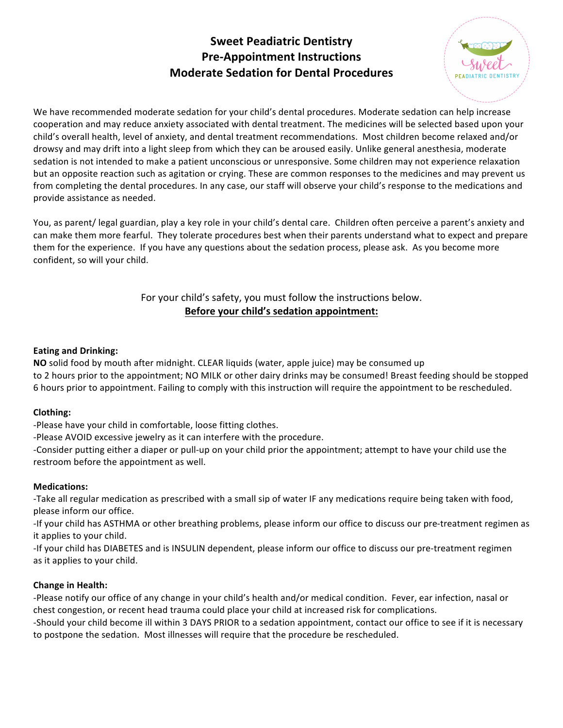# **Sweet Peadiatric Dentistry Pre-Appointment Instructions Moderate Sedation for Dental Procedures**



We have recommended moderate sedation for your child's dental procedures. Moderate sedation can help increase cooperation and may reduce anxiety associated with dental treatment. The medicines will be selected based upon your child's overall health, level of anxiety, and dental treatment recommendations. Most children become relaxed and/or drowsy and may drift into a light sleep from which they can be aroused easily. Unlike general anesthesia, moderate sedation is not intended to make a patient unconscious or unresponsive. Some children may not experience relaxation but an opposite reaction such as agitation or crying. These are common responses to the medicines and may prevent us from completing the dental procedures. In any case, our staff will observe your child's response to the medications and provide assistance as needed.

You, as parent/ legal guardian, play a key role in your child's dental care. Children often perceive a parent's anxiety and can make them more fearful. They tolerate procedures best when their parents understand what to expect and prepare them for the experience. If you have any questions about the sedation process, please ask. As you become more confident, so will your child.

# For your child's safety, you must follow the instructions below. Before your child's sedation appointment:

# **Eating and Drinking:**

**NO** solid food by mouth after midnight. CLEAR liquids (water, apple juice) may be consumed up to 2 hours prior to the appointment; NO MILK or other dairy drinks may be consumed! Breast feeding should be stopped 6 hours prior to appointment. Failing to comply with this instruction will require the appointment to be rescheduled.

### **Clothing:**

-Please have your child in comfortable, loose fitting clothes.

-Please AVOID excessive jewelry as it can interfere with the procedure.

-Consider putting either a diaper or pull-up on your child prior the appointment; attempt to have your child use the restroom before the appointment as well.

### **Medications:**

-Take all regular medication as prescribed with a small sip of water IF any medications require being taken with food, please inform our office.

-If your child has ASTHMA or other breathing problems, please inform our office to discuss our pre-treatment regimen as it applies to your child.

-If your child has DIABETES and is INSULIN dependent, please inform our office to discuss our pre-treatment regimen as it applies to your child.

### **Change in Health:**

-Please notify our office of any change in your child's health and/or medical condition. Fever, ear infection, nasal or chest congestion, or recent head trauma could place your child at increased risk for complications.

-Should your child become ill within 3 DAYS PRIOR to a sedation appointment, contact our office to see if it is necessary to postpone the sedation. Most illnesses will require that the procedure be rescheduled.